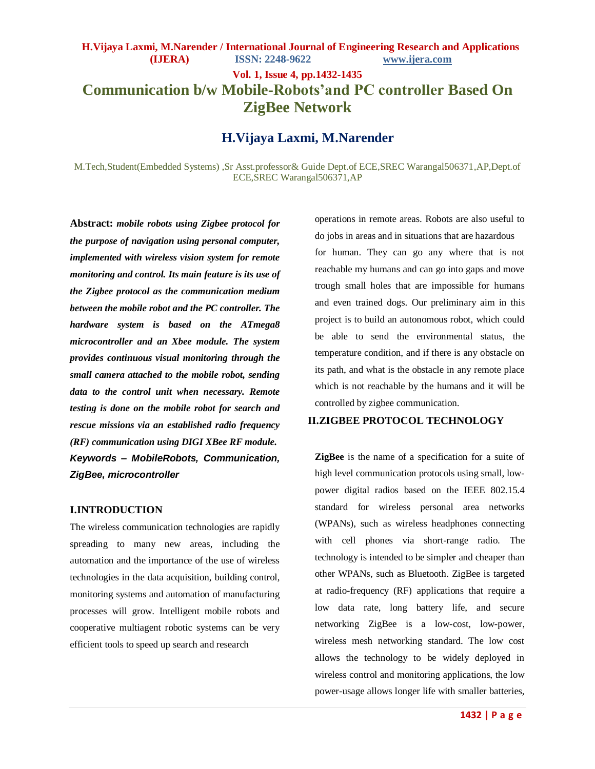# **Vol. 1, Issue 4, pp.1432-1435 Communication b/w Mobile-Robots'and PC controller Based On ZigBee Network**

### **H.Vijaya Laxmi, M.Narender**

M.Tech,Student(Embedded Systems) ,Sr Asst.professor& Guide Dept.of ECE,SREC Warangal506371,AP,Dept.of ECE,SREC Warangal506371,AP

**Abstract:** *mobile robots using Zigbee protocol for the purpose of navigation using personal computer, implemented with wireless vision system for remote monitoring and control. Its main feature is its use of the Zigbee protocol as the communication medium between the mobile robot and the PC controller. The hardware system is based on the ATmega8 microcontroller and an Xbee module. The system provides continuous visual monitoring through the small camera attached to the mobile robot, sending data to the control unit when necessary. Remote testing is done on the mobile robot for search and rescue missions via an established radio frequency (RF) communication using DIGI XBee RF module. Keywords – MobileRobots, Communication, ZigBee, microcontroller*

#### **I.INTRODUCTION**

The wireless communication technologies are rapidly spreading to many new areas, including the automation and the importance of the use of wireless technologies in the data acquisition, building control, monitoring systems and automation of manufacturing processes will grow. Intelligent mobile robots and cooperative multiagent robotic systems can be very efficient tools to speed up search and research

operations in remote areas. Robots are also useful to do jobs in areas and in situations that are hazardous for human. They can go any where that is not reachable my humans and can go into gaps and move trough small holes that are impossible for humans and even trained dogs. Our preliminary aim in this project is to build an autonomous robot, which could be able to send the environmental status, the temperature condition, and if there is any obstacle on its path, and what is the obstacle in any remote place which is not reachable by the humans and it will be controlled by zigbee communication.

### **II.ZIGBEE PROTOCOL TECHNOLOGY**

**ZigBee** is the name of a specification for a suite of high level communication protocols using small, lowpower digital radios based on the IEEE 802.15.4 standard for wireless personal area networks (WPANs), such as wireless headphones connecting with cell phones via short-range radio. The technology is intended to be simpler and cheaper than other WPANs, such as Bluetooth. ZigBee is targeted at radio-frequency (RF) applications that require a low data rate, long battery life, and secure networking ZigBee is a low-cost, low-power, wireless mesh networking standard. The low cost allows the technology to be widely deployed in wireless control and monitoring applications, the low power-usage allows longer life with smaller batteries,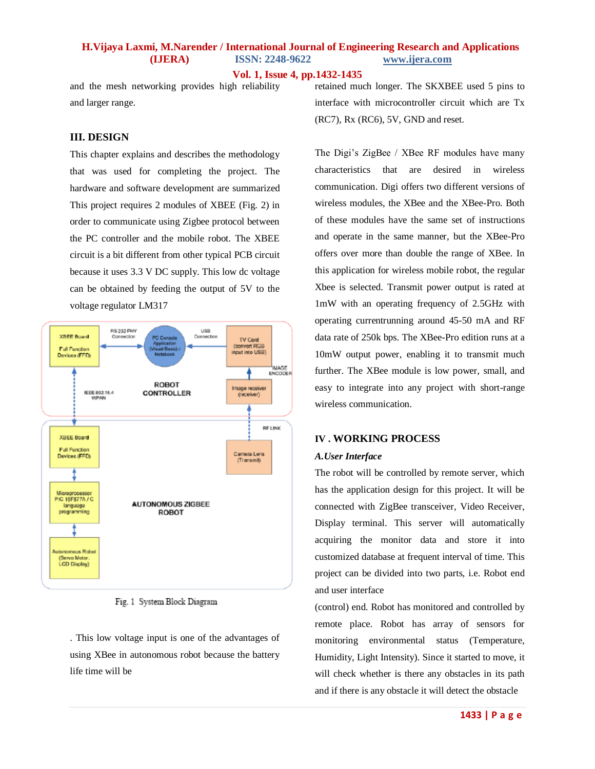### **H.Vijaya Laxmi, M.Narender / International Journal of Engineering Research and Applications (IJERA) ISSN: 2248-9622 www.ijera.com**

**Vol. 1, Issue 4, pp.1432-1435**

and the mesh networking provides high reliability and larger range.

### **III. DESIGN**

This chapter explains and describes the methodology that was used for completing the project. The hardware and software development are summarized This project requires 2 modules of XBEE (Fig. 2) in order to communicate using Zigbee protocol between the PC controller and the mobile robot. The XBEE circuit is a bit different from other typical PCB circuit because it uses 3.3 V DC supply. This low dc voltage can be obtained by feeding the output of 5V to the voltage regulator LM317



Fig. 1 System Block Diagram

. This low voltage input is one of the advantages of using XBee in autonomous robot because the battery life time will be

retained much longer. The SKXBEE used 5 pins to interface with microcontroller circuit which are Tx (RC7), Rx (RC6), 5V, GND and reset.

The Digi's ZigBee / XBee RF modules have many characteristics that are desired in wireless communication. Digi offers two different versions of wireless modules, the XBee and the XBee-Pro. Both of these modules have the same set of instructions and operate in the same manner, but the XBee-Pro offers over more than double the range of XBee. In this application for wireless mobile robot, the regular Xbee is selected. Transmit power output is rated at 1mW with an operating frequency of 2.5GHz with operating currentrunning around 45-50 mA and RF data rate of 250k bps. The XBee-Pro edition runs at a 10mW output power, enabling it to transmit much further. The XBee module is low power, small, and easy to integrate into any project with short-range wireless communication.

### **IV . WORKING PROCESS**

### *A.User Interface*

The robot will be controlled by remote server, which has the application design for this project. It will be connected with ZigBee transceiver, Video Receiver, Display terminal. This server will automatically acquiring the monitor data and store it into customized database at frequent interval of time. This project can be divided into two parts, i.e. Robot end and user interface

(control) end. Robot has monitored and controlled by remote place. Robot has array of sensors for monitoring environmental status (Temperature, Humidity, Light Intensity). Since it started to move, it will check whether is there any obstacles in its path and if there is any obstacle it will detect the obstacle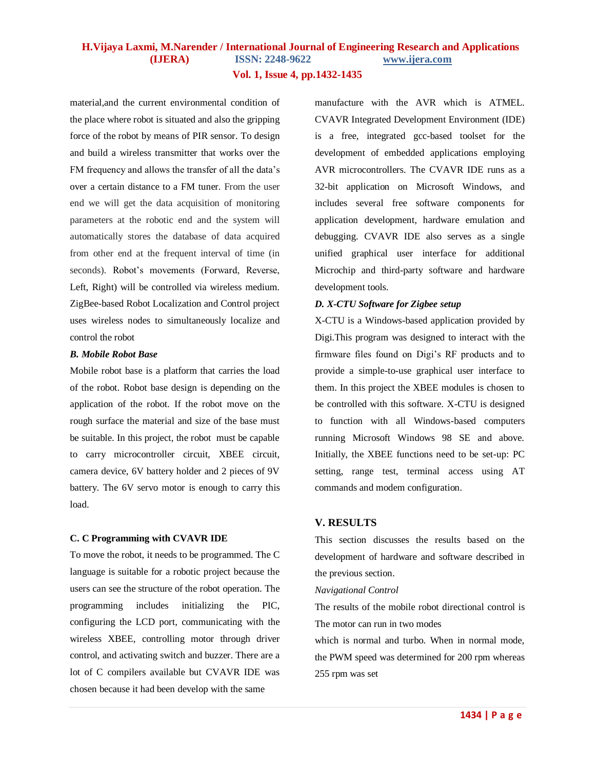## **H.Vijaya Laxmi, M.Narender / International Journal of Engineering Research and Applications (IJERA) ISSN: 2248-9622 www.ijera.com**

**Vol. 1, Issue 4, pp.1432-1435**

material,and the current environmental condition of the place where robot is situated and also the gripping force of the robot by means of PIR sensor. To design and build a wireless transmitter that works over the FM frequency and allows the transfer of all the data's over a certain distance to a FM tuner. From the user end we will get the data acquisition of monitoring parameters at the robotic end and the system will automatically stores the database of data acquired from other end at the frequent interval of time (in seconds). Robot's movements (Forward, Reverse, Left, Right) will be controlled via wireless medium. ZigBee-based Robot Localization and Control project uses wireless nodes to simultaneously localize and control the robot

#### *B. Mobile Robot Base*

Mobile robot base is a platform that carries the load of the robot. Robot base design is depending on the application of the robot. If the robot move on the rough surface the material and size of the base must be suitable. In this project, the robot must be capable to carry microcontroller circuit, XBEE circuit, camera device, 6V battery holder and 2 pieces of 9V battery. The 6V servo motor is enough to carry this load.

### **C. C Programming with CVAVR IDE**

To move the robot, it needs to be programmed. The C language is suitable for a robotic project because the users can see the structure of the robot operation. The programming includes initializing the PIC, configuring the LCD port, communicating with the wireless XBEE, controlling motor through driver control, and activating switch and buzzer. There are a lot of C compilers available but CVAVR IDE was chosen because it had been develop with the same

manufacture with the AVR which is ATMEL. CVAVR Integrated Development Environment (IDE) is a free, integrated gcc-based toolset for the development of embedded applications employing AVR microcontrollers. The CVAVR IDE runs as a 32-bit application on Microsoft Windows, and includes several free software components for application development, hardware emulation and debugging. CVAVR IDE also serves as a single unified graphical user interface for additional Microchip and third-party software and hardware development tools.

### *D. X-CTU Software for Zigbee setup*

X-CTU is a Windows-based application provided by Digi.This program was designed to interact with the firmware files found on Digi's RF products and to provide a simple-to-use graphical user interface to them. In this project the XBEE modules is chosen to be controlled with this software. X-CTU is designed to function with all Windows-based computers running Microsoft Windows 98 SE and above. Initially, the XBEE functions need to be set-up: PC setting, range test, terminal access using AT commands and modem configuration.

### **V. RESULTS**

This section discusses the results based on the development of hardware and software described in the previous section.

*Navigational Control*

The results of the mobile robot directional control is The motor can run in two modes

which is normal and turbo. When in normal mode, the PWM speed was determined for 200 rpm whereas 255 rpm was set